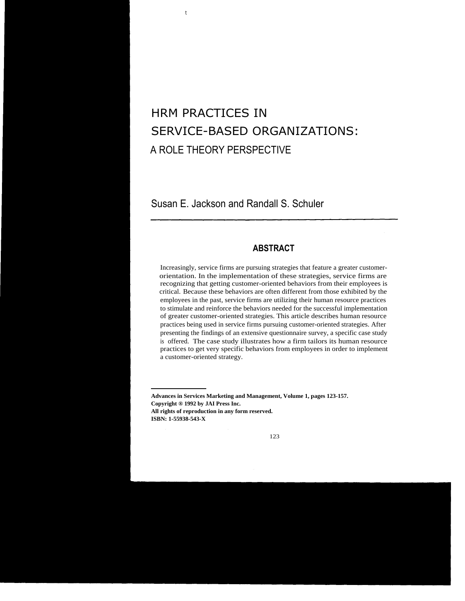# HRM PRACTICES IN SERVICE-BASED ORGANIZATIONS: A ROLE THEORY PERSPECTIVE

Susan E. Jackson and Randall S. Schuler

t

# **ABSTRACT**

Increasingly, service firms are pursuing strategies that feature a greater customerorientation. In the implementation of these strategies, service firms are recognizing that getting customer-oriented behaviors from their employees is critical. Because these behaviors are often different from those exhibited by the employees in the past, service firms are utilizing their human resource practices to stimulate and reinforce the behaviors needed for the successful implementation of greater customer-oriented strategies. This article describes human resource practices being used in service firms pursuing customer-oriented strategies. After presenting the findings of an extensive questionnaire survey, a specific case study is offered. The case study illustrates how a firm tailors its human resource practices to get very specific behaviors from employees in order to implement a customer-oriented strategy.

**Advances in Services Marketing and Management, Volume 1, pages 123-157. Copyright ® 1992 by JAI Press Inc. All rights of reproduction in any form reserved. ISBN: 1-55938-543-X**

123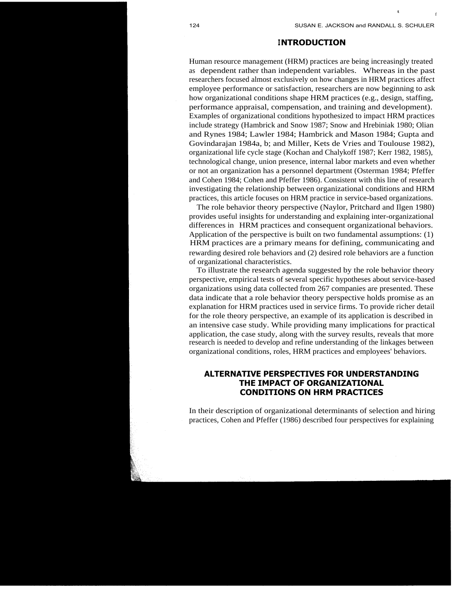t

f

## **INTRODUCTION**

Human resource management (HRM) practices are being increasingly treated as dependent rather than independent variables. Whereas in the past researchers focused almost exclusively on how changes in HRM practices affect employee performance or satisfaction, researchers are now beginning to ask how organizational conditions shape HRM practices (e.g., design, staffing, performance appraisal, compensation, and training and development). Examples of organizational conditions hypothesized to impact HRM practices include strategy (Hambrick and Snow 1987; Snow and Hrebiniak 1980; Olian and Rynes 1984; Lawler 1984; Hambrick and Mason 1984; Gupta and Govindarajan 1984a, b; and Miller, Kets de Vries and Toulouse 1982), organizational life cycle stage (Kochan and Chalykoff 1987; Kerr 1982, 1985), technological change, union presence, internal labor markets and even whether or not an organization has a personnel department (Osterman 1984; Pfeffer and Cohen 1984; Cohen and Pfeffer 1986). Consistent with this line of research investigating the relationship between organizational conditions and HRM practices, this article focuses on HRM practice in service-based organizations.

The role behavior theory perspective (Naylor, Pritchard and Ilgen 1980) provides useful insights for understanding and explaining inter-organizational differences in HRM practices and consequent organizational behaviors. Application of the perspective is built on two fundamental assumptions: (1) HRM practices are a primary means for defining, communicating and rewarding desired role behaviors and (2) desired role behaviors are a function of organizational characteristics.

To illustrate the research agenda suggested by the role behavior theory perspective, empirical tests of several specific hypotheses about service-based organizations using data collected from 267 companies are presented. These data indicate that a role behavior theory perspective holds promise as an explanation for HRM practices used in service firms. To provide richer detail for the role theory perspective, an example of its application is described in an intensive case study. While providing many implications for practical application, the case study, along with the survey results, reveals that more research is needed to develop and refine understanding of the linkages between organizational conditions, roles, HRM practices and employees' behaviors.

## **ALTERNATIVE PERSPECTIVES FOR UNDERSTANDING THE IMPACT OF ORGANIZATIONAL CONDITIONS ON HRM PRACTICES**

In their description of organizational determinants of selection and hiring practices, Cohen and Pfeffer (1986) described four perspectives for explaining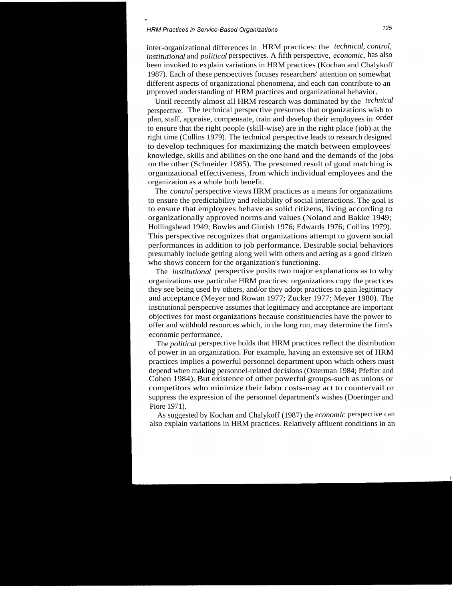## *HRM Practices in Service-Based Organizations 125*

inter-organizational differences in HRM practices: the *technical, control, institutional* and *political* perspectives. A fifth perspective, *economic,* has also been invoked to explain variations in HRM practices (Kochan and Chalykoff 1987). Each of these perspectives focuses researchers' attention on somewhat different aspects of organizational phenomena, and each can contribute to an improved understanding of HRM practices and organizational behavior.

Until recently almost all HRM research was dominated by the *technical* perspective. The technical perspective presumes that organizations wish to plan, staff, appraise, compensate, train and develop their employees in order to ensure that the right people (skill-wise) are in the right place (job) at the right time (Collins 1979). The technical perspective leads to research designed to develop techniques for maximizing the match between employees' knowledge, skills and abilities on the one hand and the demands of the jobs on the other (Schneider 1985). The presumed result of good matching is organizational effectiveness, from which individual employees and the organization as a whole both benefit.

The *control* perspective views HRM practices as a means for organizations to ensure the predictability and reliability of social interactions. The goal is to ensure that employees behave as solid citizens, living according to organizationally approved norms and values (Noland and Bakke 1949; Hollingshead 1949; Bowles and Gintish 1976; Edwards 1976; Collins 1979). This perspective recognizes that organizations attempt to govern social performances in addition to job performance. Desirable social behaviors presumably include getting along well with others and acting as a good citizen who shows concern for the organization's functioning.

The *institutional* perspective posits two major explanations as to why organizations use particular HRM practices: organizations copy the practices they see being used by others, and/or they adopt practices to gain legitimacy and acceptance (Meyer and Rowan 1977; Zucker 1977; Meyer 1980). The institutional perspective assumes that legitimacy and acceptance are important objectives for most organizations because constituencies have the power to offer and withhold resources which, in the long run, may determine the firm's economic performance.

The *political* perspective holds that HRM practices reflect the distribution of power in an organization. For example, having an extensive set of HRM practices implies a powerful personnel department upon which others must depend when making personnel-related decisions (Osterman 1984; Pfeffer and Cohen 1984). But existence of other powerful groups-such as unions or competitors who minimize their labor costs-may act to countervail or suppress the expression of the personnel department's wishes (Doeringer and Piore 1971).

As suggested by Kochan and Chalykoff (1987) the *economic* perspective can also explain variations in HRM practices. Relatively affluent conditions in an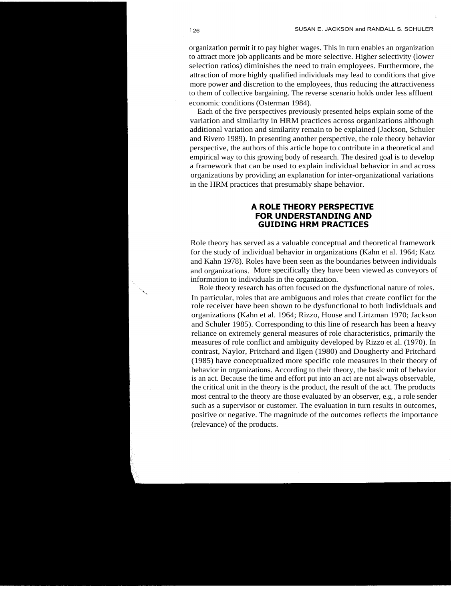I

organization permit it to pay higher wages. This in turn enables an organization to attract more job applicants and be more selective. Higher selectivity (lower selection ratios) diminishes the need to train employees. Furthermore, the attraction of more highly qualified individuals may lead to conditions that give more power and discretion to the employees, thus reducing the attractiveness to them of collective bargaining. The reverse scenario holds under less affluent economic conditions (Osterman 1984).

Each of the five perspectives previously presented helps explain some of the variation and similarity in HRM practices across organizations although additional variation and similarity remain to be explained (Jackson, Schuler and Rivero 1989). In presenting another perspective, the role theory behavior perspective, the authors of this article hope to contribute in a theoretical and empirical way to this growing body of research. The desired goal is to develop a framework that can be used to explain individual behavior in and across organizations by providing an explanation for inter-organizational variations in the HRM practices that presumably shape behavior.

## **A ROLE THEORY PERSPECTIVE FOR UNDERSTANDING AND GUIDING HRM PRACTICES**

Role theory has served as a valuable conceptual and theoretical framework for the study of individual behavior in organizations (Kahn et al. 1964; Katz and Kahn 1978). Roles have been seen as the boundaries between individuals and organizations. More specifically they have been viewed as conveyors of information to individuals in the organization.

Role theory research has often focused on the dysfunctional nature of roles. In particular, roles that are ambiguous and roles that create conflict for the role receiver have been shown to be dysfunctional to both individuals and organizations (Kahn et al. 1964; Rizzo, House and Lirtzman 1970; Jackson and Schuler 1985). Corresponding to this line of research has been a heavy reliance on extremely general measures of role characteristics, primarily the measures of role conflict and ambiguity developed by Rizzo et al. (1970). In contrast, Naylor, Pritchard and Ilgen (1980) and Dougherty and Pritchard (1985) have conceptualized more specific role measures in their theory of behavior in organizations. According to their theory, the basic unit of behavior is an act. Because the time and effort put into an act are not always observable, the critical unit in the theory is the product, the result of the act. The products most central to the theory are those evaluated by an observer, e.g., a role sender such as a supervisor or customer. The evaluation in turn results in outcomes, positive or negative. The magnitude of the outcomes reflects the importance (relevance) of the products.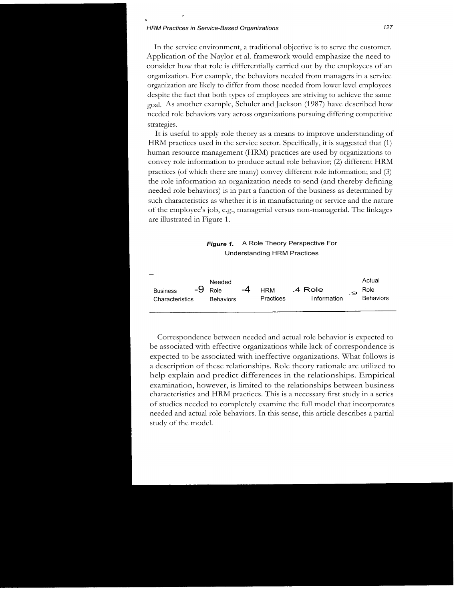#### *HRM Practices in Service-Based Organizations 127*

r

In the service environment, a traditional objective is to serve the customer. Application of the Naylor et al. framework would emphasize the need to consider how that role is differentially carried out by the employees of an organization. For example, the behaviors needed from managers in a service organization are likely to differ from those needed from lower level employees despite the fact that both types of employees are striving to achieve the same goal. As another example, Schuler and Jackson (1987) have described how needed role behaviors vary across organizations pursuing differing competitive strategies.

It is useful to apply role theory as a means to improve understanding of HRM practices used in the service sector. Specifically, it is suggested that (1) human resource management (HRM) practices are used by organizations to convey role information to produce actual role behavior; (2) different HRM practices (of which there are many) convey different role information; and (3) the role information an organization needs to send (and thereby defining needed role behaviors) is in part a function of the business as determined by such characteristics as whether it is in manufacturing or service and the nature of the employee's job, e.g., managerial versus non-managerial. The linkages are illustrated in Figure 1.

#### **Figure 1.** A Role Theory Perspective For Understanding HRM Practices

| <b>Business</b><br>.9<br><b>Behaviors</b><br><b>Practices</b><br>Information<br>Characteristics<br><b>Behaviors</b> | $\overline{\phantom{0}}$<br>-9 | Needed<br>Role | -4 | <b>HRM</b> | .4 Role |  | Actual<br>Role |
|---------------------------------------------------------------------------------------------------------------------|--------------------------------|----------------|----|------------|---------|--|----------------|
|---------------------------------------------------------------------------------------------------------------------|--------------------------------|----------------|----|------------|---------|--|----------------|

Correspondence between needed and actual role behavior is expected to be associated with effective organizations while lack of correspondence is expected to be associated with ineffective organizations. What follows is a description of these relationships. Role theory rationale are utilized to help explain and predict differences in the relationships. Empirical examination, however, is limited to the relationships between business characteristics and HRM practices. This is a necessary first study in a series of studies needed to completely examine the full model that incorporates needed and actual role behaviors. In this sense, this article describes a partial study of the model.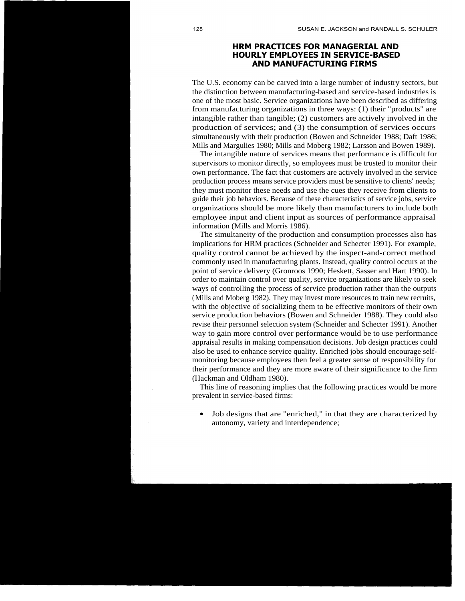## **HRM PRACTICES FOR MANAGERIAL AND HOURLY EMPLOYEES IN SERVICE-BASED AND MANUFACTURING FIRMS**

The U.S. economy can be carved into a large number of industry sectors, but the distinction between manufacturing-based and service-based industries is one of the most basic. Service organizations have been described as differing from manufacturing organizations in three ways: (1) their "products" are intangible rather than tangible; (2) customers are actively involved in the production of services; and (3) the consumption of services occurs simultaneously with their production (Bowen and Schneider 1988; Daft 1986; Mills and Margulies 1980; Mills and Moberg 1982; Larsson and Bowen 1989).

The intangible nature of services means that performance is difficult for supervisors to monitor directly, so employees must be trusted to monitor their own performance. The fact that customers are actively involved in the service production process means service providers must be sensitive to clients' needs; they must monitor these needs and use the cues they receive from clients to guide their job behaviors. Because of these characteristics of service jobs, service organizations should be more likely than manufacturers to include both employee input and client input as sources of performance appraisal information (Mills and Morris 1986).

The simultaneity of the production and consumption processes also has implications for HRM practices (Schneider and Schecter 1991). For example, quality control cannot be achieved by the inspect-and-correct method commonly used in manufacturing plants. Instead, quality control occurs at the point of service delivery (Gronroos 1990; Heskett, Sasser and Hart 1990). In order to maintain control over quality, service organizations are likely to seek ways of controlling the process of service production rather than the outputs (Mills and Moberg 1982). They may invest more resources to train new recruits, with the objective of socializing them to be effective monitors of their own service production behaviors (Bowen and Schneider 1988). They could also revise their personnel selection system (Schneider and Schecter 1991). Another way to gain more control over performance would be to use performance appraisal results in making compensation decisions. Job design practices could also be used to enhance service quality. Enriched jobs should encourage selfmonitoring because employees then feel a greater sense of responsibility for their performance and they are more aware of their significance to the firm (Hackman and Oldham 1980).

This line of reasoning implies that the following practices would be more prevalent in service-based firms:

• Job designs that are "enriched," in that they are characterized by autonomy, variety and interdependence;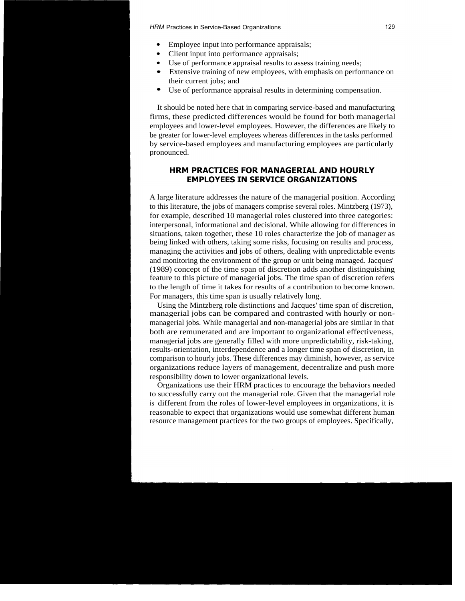*HRM* Practices in Service-Based Organizations 129

- Employee input into performance appraisals;
- Client input into performance appraisals;
- Use of performance appraisal results to assess training needs;
- Extensive training of new employees, with emphasis on performance on their current jobs; and
- Use of performance appraisal results in determining compensation.

It should be noted here that in comparing service-based and manufacturing firms, these predicted differences would be found for both managerial employees and lower-level employees. However, the differences are likely to be greater for lower-level employees whereas differences in the tasks performed by service-based employees and manufacturing employees are particularly pronounced.

## **HRM PRACTICES FOR MANAGERIAL AND HOURLY EMPLOYEES IN SERVICE ORGANIZATIONS**

A large literature addresses the nature of the managerial position. According to this literature, the jobs of managers comprise several roles. Mintzberg (1973), for example, described 10 managerial roles clustered into three categories: interpersonal, informational and decisional. While allowing for differences in situations, taken together, these 10 roles characterize the job of manager as being linked with others, taking some risks, focusing on results and process, managing the activities and jobs of others, dealing with unpredictable events and monitoring the environment of the group or unit being managed. Jacques' (1989) concept of the time span of discretion adds another distinguishing feature to this picture of managerial jobs. The time span of discretion refers to the length of time it takes for results of a contribution to become known. For managers, this time span is usually relatively long.

Using the Mintzberg role distinctions and Jacques' time span of discretion, managerial jobs can be compared and contrasted with hourly or nonmanagerial jobs. While managerial and non-managerial jobs are similar in that both are remunerated and are important to organizational effectiveness, managerial jobs are generally filled with more unpredictability, risk-taking, results-orientation, interdependence and a longer time span of discretion, in comparison to hourly jobs. These differences may diminish, however, as service organizations reduce layers of management, decentralize and push more responsibility down to lower organizational levels.

Organizations use their HRM practices to encourage the behaviors needed to successfully carry out the managerial role. Given that the managerial role is different from the roles of lower-level employees in organizations, it is reasonable to expect that organizations would use somewhat different human resource management practices for the two groups of employees. Specifically,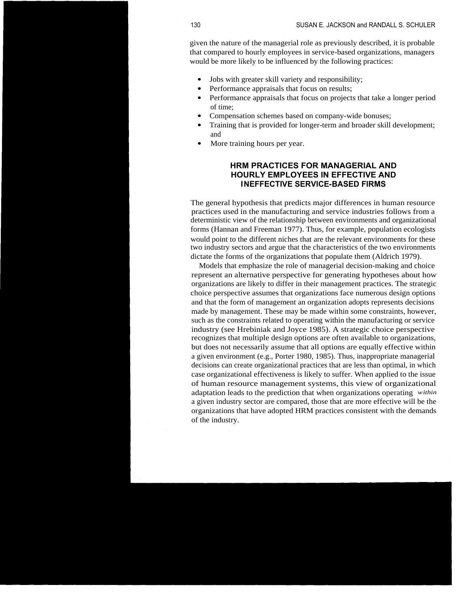given the nature of the managerial role as previously described, it is probable that compared to hourly employees in service-based organizations, managers would be more likely to be influenced by the following practices:

- Jobs with greater skill variety and responsibility;
- Performance appraisals that focus on results;
- Performance appraisals that focus on projects that take a longer period of time;
- Compensation schemes based on company-wide bonuses;
- Training that is provided for longer-term and broader skill development; and
- More training hours per year.

## **HRM PRACTICES FOR MANAGERIAL AND HOURLY EMPLOYEES IN EFFECTIVE AND INEFFECTIVE SERVICE-BASED FIRMS**

The general hypothesis that predicts major differences in human resource practices used in the manufacturing and service industries follows from a deterministic view of the relationship between environments and organizational forms (Hannan and Freeman 1977). Thus, for example, population ecologists would point to the different niches that are the relevant environments for these two industry sectors and argue that the characteristics of the two environments dictate the forms of the organizations that populate them (Aldrich 1979).

Models that emphasize the role of managerial decision-making and choice represent an alternative perspective for generating hypotheses about how organizations are likely to differ in their management practices. The strategic choice perspective assumes that organizations face numerous design options and that the form of management an organization adopts represents decisions made by management. These may be made within some constraints, however, such as the constraints related to operating within the manufacturing or service industry (see Hrebiniak and Joyce 1985). A strategic choice perspective recognizes that multiple design options are often available to organizations, but does not necessarily assume that all options are equally effective within a given environment (e.g., Porter 1980, 1985). Thus, inappropriate managerial decisions can create organizational practices that are less than optimal, in which case organizational effectiveness is likely to suffer. When applied to the issue of human resource management systems, this view of organizational adaptation leads to the prediction that when organizations operating *within* a given industry sector are compared, those that are more effective will be the organizations that have adopted HRM practices consistent with the demands of the industry.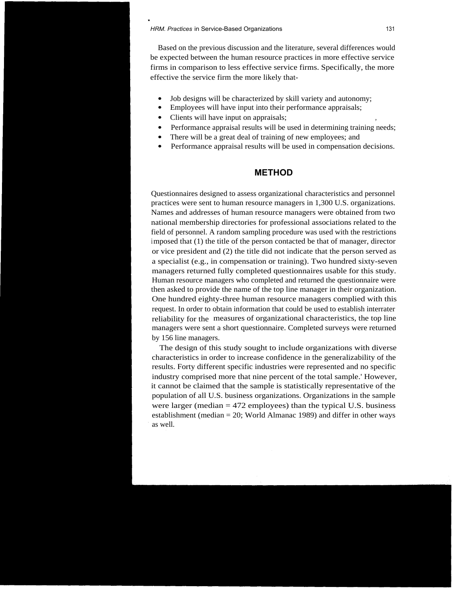#### *HRM. Practices* in Service-Based Organizations 131

Based on the previous discussion and the literature, several differences would be expected between the human resource practices in more effective service firms in comparison to less effective service firms. Specifically, the more effective the service firm the more likely that-

- Job designs will be characterized by skill variety and autonomy:
- Employees will have input into their performance appraisals;
- Clients will have input on appraisals;
- Performance appraisal results will be used in determining training needs;
- There will be a great deal of training of new employees; and
- Performance appraisal results will be used in compensation decisions.

## **METHOD**

Questionnaires designed to assess organizational characteristics and personnel practices were sent to human resource managers in 1,300 U.S. organizations. Names and addresses of human resource managers were obtained from two national membership directories for professional associations related to the field of personnel. A random sampling procedure was used with the restrictions imposed that (1) the title of the person contacted be that of manager, director or vice president and (2) the title did not indicate that the person served as a specialist (e.g., in compensation or training). Two hundred sixty-seven managers returned fully completed questionnaires usable for this study. Human resource managers who completed and returned the questionnaire were then asked to provide the name of the top line manager in their organization. One hundred eighty-three human resource managers complied with this request. In order to obtain information that could be used to establish interrater reliability for the measures of organizational characteristics, the top line managers were sent a short questionnaire. Completed surveys were returned by 156 line managers.

The design of this study sought to include organizations with diverse characteristics in order to increase confidence in the generalizability of the results. Forty different specific industries were represented and no specific industry comprised more that nine percent of the total sample.' However, it cannot be claimed that the sample is statistically representative of the population of all U.S. business organizations. Organizations in the sample were larger (median  $= 472$  employees) than the typical U.S. business establishment (median = 20; World Almanac 1989) and differ in other ways as well.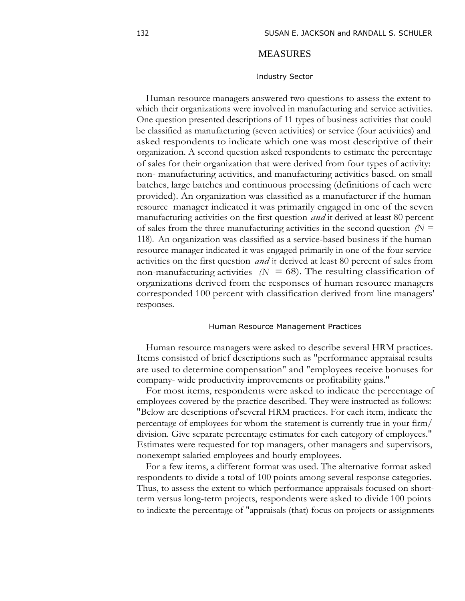## MEASURES

#### Industry Sector

Human resource managers answered two questions to assess the extent to which their organizations were involved in manufacturing and service activities. One question presented descriptions of 11 types of business activities that could be classified as manufacturing (seven activities) or service (four activities) and asked respondents to indicate which one was most descriptive of their organization. A second question asked respondents to estimate the percentage of sales for their organization that were derived from four types of activity: non- manufacturing activities, and manufacturing activities based. on small batches, large batches and continuous processing (definitions of each were provided). An organization was classified as a manufacturer if the human resource manager indicated it was primarily engaged in one of the seven manufacturing activities on the first question *and* it derived at least 80 percent of sales from the three manufacturing activities in the second question *(N =* 118). An organization was classified as a service-based business if the human resource manager indicated it was engaged primarily in one of the four service activities on the first question *and* it derived at least 80 percent of sales from non-manufacturing activities  $(N = 68)$ . The resulting classification of organizations derived from the responses of human resource managers corresponded 100 percent with classification derived from line managers' responses.

#### Human Resource Management Practices

Human resource managers were asked to describe several HRM practices. Items consisted of brief descriptions such as "performance appraisal results are used to determine compensation" and "employees receive bonuses for company- wide productivity improvements or profitability gains."

For most items, respondents were asked to indicate the percentage of employees covered by the practice described. They were instructed as follows: "Below are descriptions of'several HRM practices. For each item, indicate the percentage of employees for whom the statement is currently true in your firm/ division. Give separate percentage estimates for each category of employees." Estimates were requested for top managers, other managers and supervisors, nonexempt salaried employees and hourly employees.

For a few items, a different format was used. The alternative format asked respondents to divide a total of 100 points among several response categories. Thus, to assess the extent to which performance appraisals focused on shortterm versus long-term projects, respondents were asked to divide 100 points to indicate the percentage of "appraisals (that) focus on projects or assignments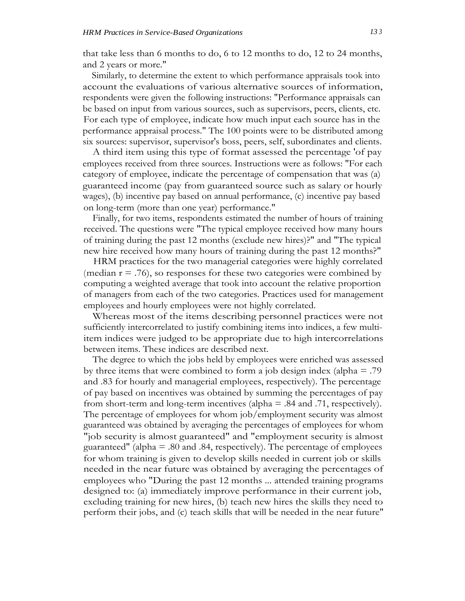that take less than 6 months to do, 6 to 12 months to do, 12 to 24 months, and 2 years or more."

Similarly, to determine the extent to which performance appraisals took into account the evaluations of various alternative sources of information, respondents were given the following instructions: "Performance appraisals can be based on input from various sources, such as supervisors, peers, clients, etc. For each type of employee, indicate how much input each source has in the performance appraisal process." The 100 points were to be distributed among six sources: supervisor, supervisor's boss, peers, self, subordinates and clients.

A third item using this type of format assessed the percentage 'of pay employees received from three sources. Instructions were as follows: "For each category of employee, indicate the percentage of compensation that was (a) guaranteed income (pay from guaranteed source such as salary or hourly wages), (b) incentive pay based on annual performance, (c) incentive pay based on long-term (more than one year) performance."

Finally, for two items, respondents estimated the number of hours of training received. The questions were "The typical employee received how many hours of training during the past 12 months (exclude new hires)?" and "The typical new hire received how many hours of training during the past 12 months?"

HRM practices for the two managerial categories were highly correlated (median  $r = .76$ ), so responses for these two categories were combined by computing a weighted average that took into account the relative proportion of managers from each of the two categories. Practices used for management employees and hourly employees were not highly correlated.

Whereas most of the items describing personnel practices were not sufficiently intercorrelated to justify combining items into indices, a few multiitem indices were judged to be appropriate due to high intercorrelations between items. These indices are described next.

The degree to which the jobs held by employees were enriched was assessed by three items that were combined to form a job design index (alpha = .79 and .83 for hourly and managerial employees, respectively). The percentage of pay based on incentives was obtained by summing the percentages of pay from short-term and long-term incentives (alpha  $=$  .84 and .71, respectively). The percentage of employees for whom job/employment security was almost guaranteed was obtained by averaging the percentages of employees for whom "job security is almost guaranteed" and "employment security is almost guaranteed" (alpha = .80 and .84, respectively). The percentage of employees for whom training is given to develop skills needed in current job or skills needed in the near future was obtained by averaging the percentages of employees who "During the past 12 months ... attended training programs designed to: (a) immediately improve performance in their current job, excluding training for new hires, (b) teach new hires the skills they need to perform their jobs, and (c) teach skills that will be needed in the near future"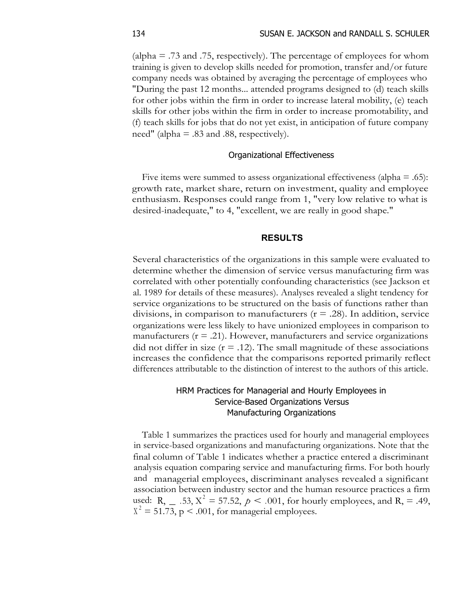(alpha  $=$  .73 and .75, respectively). The percentage of employees for whom training is given to develop skills needed for promotion, transfer and/or future company needs was obtained by averaging the percentage of employees who "During the past 12 months... attended programs designed to (d) teach skills for other jobs within the firm in order to increase lateral mobility, (e) teach skills for other jobs within the firm in order to increase promotability, and (f) teach skills for jobs that do not yet exist, in anticipation of future company need" (alpha  $=$  .83 and .88, respectively).

## Organizational Effectiveness

Five items were summed to assess organizational effectiveness (alpha  $=$  .65): growth rate, market share, return on investment, quality and employee enthusiasm. Responses could range from 1, "very low relative to what is desired-inadequate," to 4, "excellent, we are really in good shape."

## **RESULTS**

Several characteristics of the organizations in this sample were evaluated to determine whether the dimension of service versus manufacturing firm was correlated with other potentially confounding characteristics (see Jackson et al. 1989 for details of these measures). Analyses revealed a slight tendency for service organizations to be structured on the basis of functions rather than divisions, in comparison to manufacturers  $(r = .28)$ . In addition, service organizations were less likely to have unionized employees in comparison to manufacturers  $(r = .21)$ . However, manufacturers and service organizations did not differ in size  $(r = .12)$ . The small magnitude of these associations increases the confidence that the comparisons reported primarily reflect differences attributable to the distinction of interest to the authors of this article.

# HRM Practices for Managerial and Hourly Employees in Service-Based Organizations Versus Manufacturing Organizations

Table 1 summarizes the practices used for hourly and managerial employees in service-based organizations and manufacturing organizations. Note that the final column of Table 1 indicates whether a practice entered a discriminant analysis equation comparing service and manufacturing firms. For both hourly and managerial employees, discriminant analyses revealed a significant association between industry sector and the human resource practices a firm used: R,  $= .53, X^2 = 57.52, p < .001$ , for hourly employees, and R, = .49,  $X^2 = 51.73$ , p < .001, for managerial employees.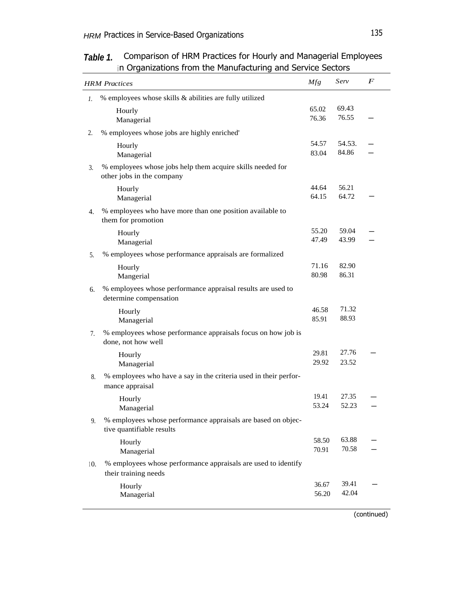|     | <b>HRM</b> Practices                                                                      | Mfg            | Serv            | $\bm{F}$ |
|-----|-------------------------------------------------------------------------------------------|----------------|-----------------|----------|
| 1.  | % employees whose skills & abilities are fully utilized                                   |                |                 |          |
|     | Hourly<br>Managerial                                                                      | 65.02<br>76.36 | 69.43<br>76.55  |          |
| 2.  | % employees whose jobs are highly enriched'                                               |                |                 |          |
|     | Hourly<br>Managerial                                                                      | 54.57<br>83.04 | 54.53.<br>84.86 |          |
| 3.  | % employees whose jobs help them acquire skills needed for<br>other jobs in the company   |                |                 |          |
|     | Hourly<br>Managerial                                                                      | 44.64<br>64.15 | 56.21<br>64.72  |          |
| 4.  | % employees who have more than one position available to<br>them for promotion            |                |                 |          |
|     | Hourly<br>Managerial                                                                      | 55.20<br>47.49 | 59.04<br>43.99  |          |
| 5.  | % employees whose performance appraisals are formalized                                   |                |                 |          |
|     | Hourly<br>Mangerial                                                                       | 71.16<br>80.98 | 82.90<br>86.31  |          |
| 6.  | % employees whose performance appraisal results are used to<br>determine compensation     |                |                 |          |
|     | Hourly<br>Managerial                                                                      | 46.58<br>85.91 | 71.32<br>88.93  |          |
| 7.  | % employees whose performance appraisals focus on how job is<br>done, not how well        |                |                 |          |
|     | Hourly<br>Managerial                                                                      | 29.81<br>29.92 | 27.76<br>23.52  |          |
| 8.  | % employees who have a say in the criteria used in their perfor-<br>mance appraisal       |                |                 |          |
|     | Hourly<br>Managerial                                                                      | 19.41<br>53.24 | 27.35<br>52.23  |          |
| 9.  | % employees whose performance appraisals are based on objec-<br>tive quantifiable results |                |                 |          |
|     | Hourly<br>Managerial                                                                      | 58.50<br>70.91 | 63.88<br>70.58  |          |
| 10. | % employees whose performance appraisals are used to identify<br>their training needs     |                |                 |          |
|     | Hourly<br>Managerial                                                                      | 36.67<br>56.20 | 39.41<br>42.04  |          |

# **Table 1.** Comparison of HRM Practices for Hourly and Managerial Employees in Organizations from the Manufacturing and Service Sectors

(continued)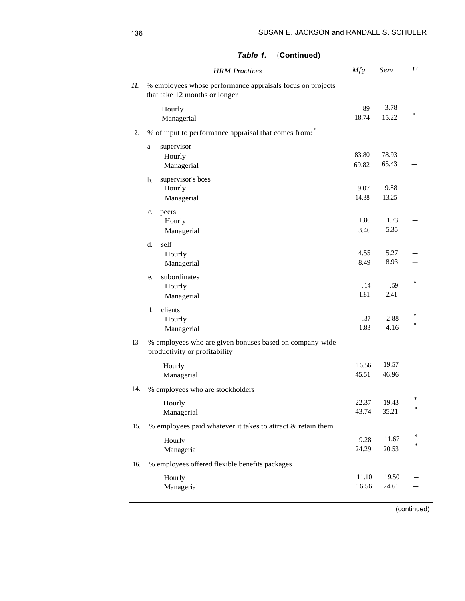|     | <b>HRM</b> Practices                                                                        | Mfg            | Serv           | $\boldsymbol{F}$ |
|-----|---------------------------------------------------------------------------------------------|----------------|----------------|------------------|
| 11. | % employees whose performance appraisals focus on projects<br>that take 12 months or longer |                |                |                  |
|     | Hourly<br>Managerial                                                                        | .89<br>18.74   | 3.78<br>15.22  | *                |
| 12. | % of input to performance appraisal that comes from:                                        |                |                |                  |
|     | supervisor<br>a.<br>Hourly<br>Managerial                                                    | 83.80<br>69.82 | 78.93<br>65.43 |                  |
|     | supervisor's boss<br>b.<br>Hourly<br>Managerial                                             | 9.07<br>14.38  | 9.88<br>13.25  |                  |
|     | peers<br>c.<br>Hourly<br>Managerial                                                         | 1.86<br>3.46   | 1.73<br>5.35   |                  |
|     | self<br>d.<br>Hourly<br>Managerial                                                          | 4.55<br>8.49   | 5.27<br>8.93   |                  |
|     | subordinates<br>e.<br>Hourly<br>Managerial                                                  | .14<br>1.81    | .59<br>2.41    | *                |
|     | clients<br>f.<br>Hourly<br>Managerial                                                       | .37<br>1.83    | 2.88<br>4.16   | *<br>*           |
| 13. | % employees who are given bonuses based on company-wide<br>productivity or profitability    |                |                |                  |
|     | Hourly<br>Managerial                                                                        | 16.56<br>45.51 | 19.57<br>46.96 |                  |
| 14. | % employees who are stockholders                                                            |                |                |                  |
|     | Hourly<br>Managerial                                                                        | 22.37<br>43.74 | 19.43<br>35.21 | $\ast$<br>*      |
| 15. | % employees paid whatever it takes to attract & retain them                                 |                |                |                  |
|     | Hourly<br>Managerial                                                                        | 9.28<br>24.29  | 11.67<br>20.53 | $\ast$<br>$\ast$ |
| 16. | % employees offered flexible benefits packages                                              |                |                |                  |
|     | Hourly<br>Managerial                                                                        | 11.10<br>16.56 | 19.50<br>24.61 |                  |

(continued)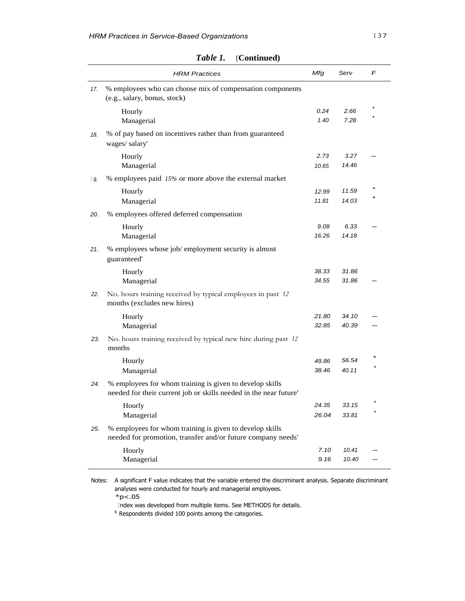|     | <b>HRM Practices</b>                                                                                                          | Mfg            | Serv           | F |
|-----|-------------------------------------------------------------------------------------------------------------------------------|----------------|----------------|---|
| 17. | % employees who can choose mix of compensation components<br>(e.g., salary, bonus, stock)                                     |                |                |   |
|     | Hourly<br>Managerial                                                                                                          | 0.24<br>1.40   | 2.66<br>7.28   |   |
| 18. | % of pay based on incentives rather than from guaranteed<br>wages/salary'                                                     |                |                |   |
|     | Hourly<br>Managerial                                                                                                          | 2.73<br>10.65  | 3.27<br>14.46  |   |
| 19. | % employees paid 15% or more above the external market                                                                        |                |                |   |
|     | Hourly<br>Managerial                                                                                                          | 12.99<br>11.81 | 11.59<br>14.03 |   |
| 20. | % employees offered deferred compensation                                                                                     |                |                |   |
|     | Hourly                                                                                                                        | 9.08           | 6.33           |   |
|     | Managerial                                                                                                                    | 16.26          | 14.18          |   |
| 21. | % employees whose job/ employment security is almost<br>guaranteed'                                                           |                |                |   |
|     | Hourly<br>Managerial                                                                                                          | 38.33<br>34.55 | 31.86<br>31.86 |   |
| 22. | No. hours training received by typical employees in past 12<br>months (excludes new hires)                                    |                |                |   |
|     | Hourly<br>Managerial                                                                                                          | 21.80<br>32.85 | 34.10<br>40.39 |   |
| 23. | No. hours training received by typical new hire during past 12<br>months                                                      |                |                |   |
|     | Hourly                                                                                                                        | 49.86          | 56.54          |   |
|     | Managerial                                                                                                                    | 38.46          | 40.11          |   |
| 24. | % employees for whom training is given to develop skills<br>needed for their current job or skills needed in the near future' |                |                |   |
|     | Hourly                                                                                                                        | 24.35          | 33.15          |   |
|     | Managerial                                                                                                                    | 26.04          | 33.81          |   |
| 25. | % employees for whom training is given to develop skills<br>needed for promotion, transfer and/or future company needs'       |                |                |   |
|     | Hourly                                                                                                                        | 7.10           | 10.41          |   |
|     | Managerial                                                                                                                    | 9.16           | 10.40          |   |

*Table 1.* **(Continued)**

Notes: A significant F value indicates that the variable entered the discriminant analysis. Separate discriminant analyses were conducted for hourly and managerial employees.

 $*p<.05$ 

Index was developed from multiple items. See METHODS for details.

**b** Respondents divided 100 points among the categories.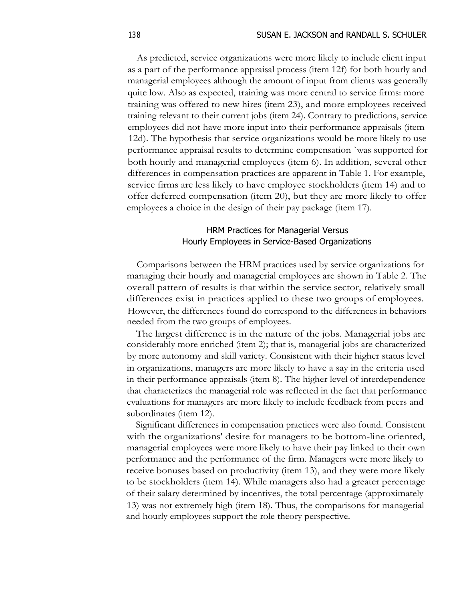As predicted, service organizations were more likely to include client input as a part of the performance appraisal process (item 12f) for both hourly and managerial employees although the amount of input from clients was generally quite low. Also as expected, training was more central to service firms: more training was offered to new hires (item 23), and more employees received training relevant to their current jobs (item 24). Contrary to predictions, service employees did not have more input into their performance appraisals (item 12d). The hypothesis that service organizations would be more likely to use performance appraisal results to determine compensation `was supported for both hourly and managerial employees (item 6). In addition, several other differences in compensation practices are apparent in Table 1. For example, service firms are less likely to have employee stockholders (item 14) and to offer deferred compensation (item 20), but they are more likely to offer employees a choice in the design of their pay package (item 17).

## HRM Practices for Managerial Versus Hourly Employees in Service-Based Organizations

Comparisons between the HRM practices used by service organizations for managing their hourly and managerial employees are shown in Table 2. The overall pattern of results is that within the service sector, relatively small differences exist in practices applied to these two groups of employees. However, the differences found do correspond to the differences in behaviors needed from the two groups of employees.

The largest difference is in the nature of the jobs. Managerial jobs are considerably more enriched (item 2); that is, managerial jobs are characterized by more autonomy and skill variety. Consistent with their higher status level in organizations, managers are more likely to have a say in the criteria used in their performance appraisals (item 8). The higher level of interdependence that characterizes the managerial role was reflected in the fact that performance evaluations for managers are more likely to include feedback from peers and subordinates (item 12).

Significant differences in compensation practices were also found. Consistent with the organizations' desire for managers to be bottom-line oriented, managerial employees were more likely to have their pay linked to their own performance and the performance of the firm. Managers were more likely to receive bonuses based on productivity (item 13), and they were more likely to be stockholders (item 14). While managers also had a greater percentage of their salary determined by incentives, the total percentage (approximately 13) was not extremely high (item 18). Thus, the comparisons for managerial and hourly employees support the role theory perspective.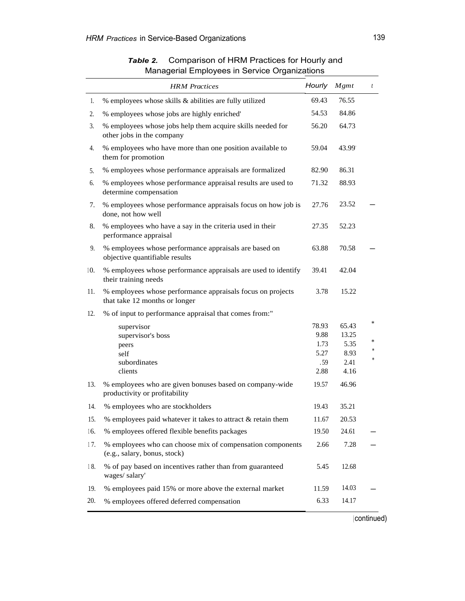|     | <b>HRM</b> Practices                                                                        | Hourly      | Mgmt         | $\boldsymbol{t}$ |
|-----|---------------------------------------------------------------------------------------------|-------------|--------------|------------------|
| 1.  | % employees whose skills & abilities are fully utilized                                     | 69.43       | 76.55        |                  |
| 2.  | % employees whose jobs are highly enriched'                                                 | 54.53       | 84.86        |                  |
| 3.  | % employees whose jobs help them acquire skills needed for<br>other jobs in the company     | 56.20       | 64.73        |                  |
| 4.  | % employees who have more than one position available to<br>them for promotion              | 59.04       | 43.99        |                  |
| 5.  | % employees whose performance appraisals are formalized                                     | 82.90       | 86.31        |                  |
| 6.  | % employees whose performance appraisal results are used to<br>determine compensation       | 71.32       | 88.93        |                  |
| 7.  | % employees whose performance appraisals focus on how job is<br>done, not how well          | 27.76       | 23.52        |                  |
| 8.  | % employees who have a say in the criteria used in their<br>performance appraisal           | 27.35       | 52.23        |                  |
| 9.  | % employees whose performance appraisals are based on<br>objective quantifiable results     | 63.88       | 70.58        |                  |
| 10. | % employees whose performance appraisals are used to identify<br>their training needs       | 39.41       | 42.04        |                  |
| 11. | % employees whose performance appraisals focus on projects<br>that take 12 months or longer | 3.78        | 15.22        |                  |
| 12. | % of input to performance appraisal that comes from:"                                       |             |              |                  |
|     | supervisor                                                                                  | 78.93       | 65.43        | *                |
|     | supervisor's boss                                                                           | 9.88        | 13.25        | ×.               |
|     | peers                                                                                       | 1.73        | 5.35         | *                |
|     | self<br>subordinates                                                                        | 5.27<br>.59 | 8.93<br>2.41 | *                |
|     | clients                                                                                     | 2.88        | 4.16         |                  |
| 13. | % employees who are given bonuses based on company-wide<br>productivity or profitability    | 19.57       | 46.96        |                  |
| 14. | % employees who are stockholders                                                            | 19.43       | 35.21        |                  |
| 15. | % employees paid whatever it takes to attract & retain them                                 | 11.67       | 20.53        |                  |
| 16. | % employees offered flexible benefits packages                                              | 19.50       | 24.61        |                  |
| 17. | % employees who can choose mix of compensation components<br>(e.g., salary, bonus, stock)   | 2.66        | 7.28         |                  |
| 18. | % of pay based on incentives rather than from guaranteed<br>wages/salary'                   | 5.45        | 12.68        |                  |
| 19. | % employees paid 15% or more above the external market                                      | 11.59       | 14.03        |                  |
| 20. | % employees offered deferred compensation                                                   | 6.33        | 14.17        |                  |

# *Table 2.* Comparison of HRM Practices for Hourly and Managerial Employees in Service Organizations

( continued)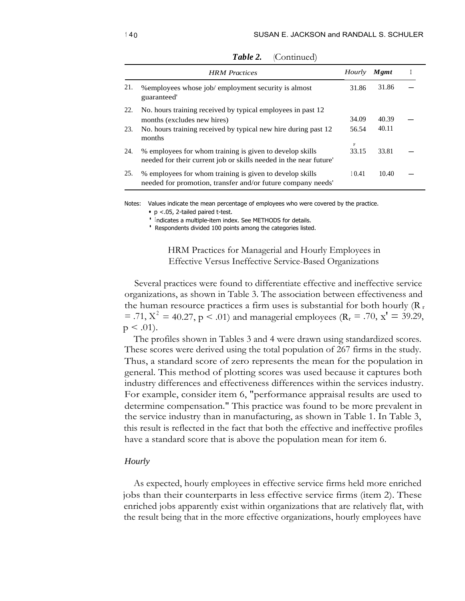|     | <b>HRM</b> Practices                                                                                                    | Hourly                | Mgmt  |  |
|-----|-------------------------------------------------------------------------------------------------------------------------|-----------------------|-------|--|
| 21. | % employees whose job/employment security is almost<br>guaranteed'                                                      | 31.86                 | 31.86 |  |
| 22. | No. hours training received by typical employees in past 12                                                             |                       |       |  |
|     | months (excludes new hires)                                                                                             | 34.09                 | 40.39 |  |
| 23. | No. hours training received by typical new hire during past 12<br>months                                                | 56.54                 | 40.11 |  |
| 24. | % employees for whom training is given to develop skills                                                                | $\mathbf{F}$<br>33.15 | 33.81 |  |
|     | needed for their current job or skills needed in the near future'                                                       |                       |       |  |
| 25. | % employees for whom training is given to develop skills<br>needed for promotion, transfer and/or future company needs' | 10.41                 | 10.40 |  |

Table 2. (Continued)

Notes: Values indicate the mean percentage of employees who were covered by the practice.

• p <.05, 2-tailed paired t-test.

<sup>•</sup> Indicates a multiple-item index. See METHODS for details.

• Respondents divided 100 points among the categories listed.

HRM Practices for Managerial and Hourly Employees in Effective Versus Ineffective Service-Based Organizations

Several practices were found to differentiate effective and ineffective service organizations, as shown in Table 3. The association between effectiveness and the human resource practices a firm uses is substantial for both hourly  $(R_r)$ = .71,  $X^2 = 40.27$ ,  $p < .01$ ) and managerial employees (R<sub>r</sub> = .70, x<sup>t</sup> = 39.29,  $p < .01$ ).

The profiles shown in Tables 3 and 4 were drawn using standardized scores. These scores were derived using the total population of 267 firms in the study. Thus, a standard score of zero represents the mean for the population in general. This method of plotting scores was used because it captures both industry differences and effectiveness differences within the services industry. For example, consider item 6, "performance appraisal results are used to determine compensation." This practice was found to be more prevalent in the service industry than in manufacturing, as shown in Table 1. In Table 3, this result is reflected in the fact that both the effective and ineffective profiles have a standard score that is above the population mean for item 6.

### *Hourly*

As expected, hourly employees in effective service firms held more enriched jobs than their counterparts in less effective service firms (item 2). These enriched jobs apparently exist within organizations that are relatively flat, with the result being that in the more effective organizations, hourly employees have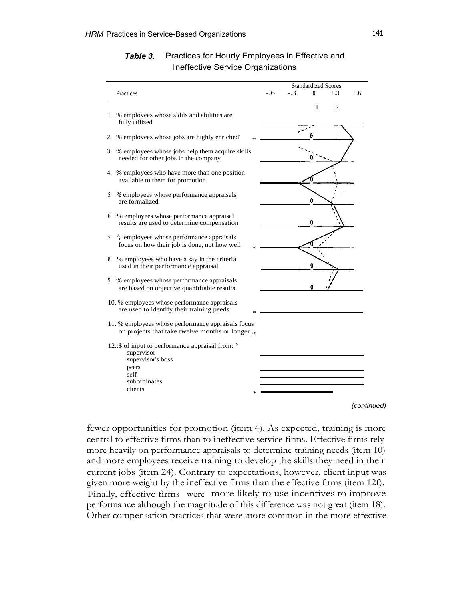|                                                                                                                                  |     |       | <b>Standardized Scores</b> |       |       |
|----------------------------------------------------------------------------------------------------------------------------------|-----|-------|----------------------------|-------|-------|
| Practices                                                                                                                        | -.6 | $-.3$ | $\theta$                   | $+.3$ | $+.6$ |
| 1. % employees whose sldils and abilities are<br>fully utilized                                                                  |     |       | I                          | Е     |       |
| 2. % employees whose jobs are highly enriched'                                                                                   |     |       |                            |       |       |
| 3. % employees whose jobs help them acquire skills<br>needed for other jobs in the company                                       |     |       |                            |       |       |
| 4. % employees who have more than one position<br>available to them for promotion                                                |     |       |                            |       |       |
| 5. % employees whose performance appraisals<br>are formalized                                                                    |     |       | 0                          |       |       |
| 6. % employees whose performance appraisal<br>results are used to determine compensation                                         |     |       |                            |       |       |
| 7. $\frac{01}{0}$ employees whose performance appraisals<br>focus on how their job is done, not how well                         |     |       |                            |       |       |
| 8. % employees who have a say in the criteria<br>used in their performance appraisal                                             |     |       |                            |       |       |
| 9. % employees whose performance appraisals<br>are based on objective quantifiable results                                       |     |       | 0                          |       |       |
| 10. % employees whose performance appraisals<br>are used to identify their training peeds                                        |     |       |                            |       |       |
| 11. % employees whose performance appraisals focus<br>on projects that take twelve months or longer,                             |     |       |                            |       |       |
| 12.: \$ of input to performance appraisal from: °<br>supervisor<br>supervisor's boss<br>peers<br>self<br>subordinates<br>clients |     |       |                            |       |       |

## *Table 3.* Practices for Hourly Employees in Effective and Ineffective Service Organizations

(continued)

fewer opportunities for promotion (item 4). As expected, training is more central to effective firms than to ineffective service firms. Effective firms rely more heavily on performance appraisals to determine training needs (item 10) and more employees receive training to develop the skills they need in their current jobs (item 24). Contrary to expectations, however, client input was given more weight by the ineffective firms than the effective firms (item 12f). Finally, effective firms were more likely to use incentives to improve performance although the magnitude of this difference was not great (item 18). Other compensation practices that were more common in the more effective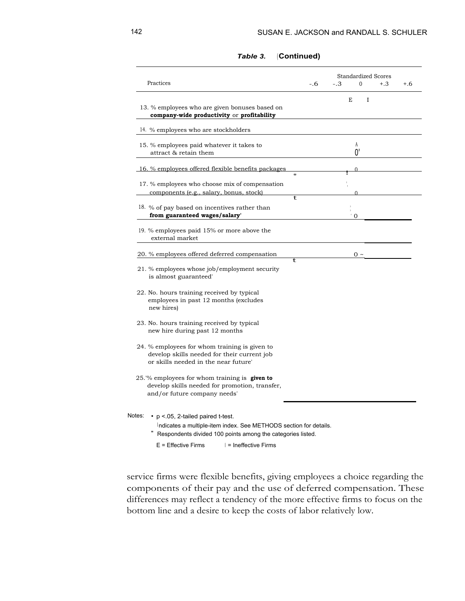| Practices                                                                                                                                                                             |         | -.6 | $-.3$ |              | $\Omega$     | <b>Standardized Scores</b><br>$+.3$ | $+.6$ |
|---------------------------------------------------------------------------------------------------------------------------------------------------------------------------------------|---------|-----|-------|--------------|--------------|-------------------------------------|-------|
| 13. % employees who are given bonuses based on                                                                                                                                        |         |     |       | E            | $\mathbf{I}$ |                                     |       |
| company-wide productivity or profitability                                                                                                                                            |         |     |       |              |              |                                     |       |
| 14. % employees who are stockholders                                                                                                                                                  |         |     |       |              |              |                                     |       |
| 15. % employees paid whatever it takes to<br>attract & retain them                                                                                                                    |         |     |       | A<br>0'      |              |                                     |       |
| 16. % employees offered flexible benefits packages                                                                                                                                    | $\star$ |     |       |              |              |                                     |       |
| 17. % employees who choose mix of compensation<br>components (e.g., salary, bonus, stock)                                                                                             |         |     |       |              |              |                                     |       |
| 18. % of pay based on incentives rather than<br>from guaranteed wages/salary'                                                                                                         | t       |     |       |              |              |                                     |       |
| 19. % employees paid 15% or more above the<br>external market                                                                                                                         |         |     |       | $^{\circ}$ O |              |                                     |       |
| 20. % employees offered deferred compensation                                                                                                                                         |         |     |       | $0 \sim$     |              |                                     |       |
| 21. % employees whose job/employment security<br>is almost guaranteed'                                                                                                                | ŧ       |     |       |              |              |                                     |       |
| 22. No. hours training received by typical<br>employees in past 12 months (excludes<br>new hires)                                                                                     |         |     |       |              |              |                                     |       |
| 23. No. hours training received by typical<br>new hire during past 12 months                                                                                                          |         |     |       |              |              |                                     |       |
| 24. % employees for whom training is given to<br>develop skills needed for their current job<br>or skills needed in the near future'                                                  |         |     |       |              |              |                                     |       |
| 25.% employees for whom training is given to<br>develop skills needed for promotion, transfer,<br>and/or future company needs'                                                        |         |     |       |              |              |                                     |       |
| Notes:<br>$\cdot$ p < 05, 2-tailed paired t-test.<br>Indicates a multiple-item index. See METHODS section for details.<br>Respondents divided 100 points among the categories listed. |         |     |       |              |              |                                     |       |

## *Table 3.* **(Continued)**

 $E =$  Effective Firms  $| =$  Ineffective Firms

service firms were flexible benefits, giving employees a choice regarding the components of their pay and the use of deferred compensation. These differences may reflect a tendency of the more effective firms to focus on the bottom line and a desire to keep the costs of labor relatively low.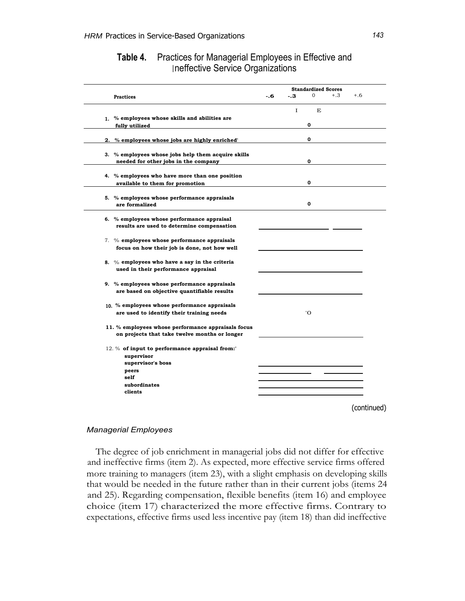| <b>Table 4.</b> Practices for Managerial Employees in Effective and |
|---------------------------------------------------------------------|
| Ineffective Service Organizations                                   |

|                                                                                           |     |       | <b>Standardized Scores</b> |       |       |
|-------------------------------------------------------------------------------------------|-----|-------|----------------------------|-------|-------|
| <b>Practices</b>                                                                          | -.6 | $-.3$ | $\Omega$                   | $+.3$ | $+.6$ |
|                                                                                           |     | L     | E                          |       |       |
| 1. % employees whose skills and abilities are                                             |     |       |                            |       |       |
| fully utilized                                                                            |     |       | 0                          |       |       |
|                                                                                           |     |       |                            |       |       |
| 2. % employees whose jobs are highly enriched                                             |     |       | 0                          |       |       |
|                                                                                           |     |       |                            |       |       |
| 3. % employees whose jobs help them acquire skills                                        |     |       |                            |       |       |
| needed for other jobs in the company                                                      |     |       | 0                          |       |       |
|                                                                                           |     |       |                            |       |       |
| 4. % employees who have more than one position                                            |     |       | 0                          |       |       |
| available to them for promotion                                                           |     |       |                            |       |       |
| 5. % employees whose performance appraisals                                               |     |       |                            |       |       |
| are formalized                                                                            |     |       | 0                          |       |       |
|                                                                                           |     |       |                            |       |       |
| 6. % employees whose performance appraisal                                                |     |       |                            |       |       |
| results are used to determine compensation                                                |     |       |                            |       |       |
|                                                                                           |     |       |                            |       |       |
| 7. % employees whose performance appraisals                                               |     |       |                            |       |       |
| focus on how their job is done, not how well                                              |     |       |                            |       |       |
| 8. $\%$ employees who have a say in the criteria                                          |     |       |                            |       |       |
| used in their performance appraisal                                                       |     |       |                            |       |       |
|                                                                                           |     |       |                            |       |       |
| 9. % employees whose performance appraisals                                               |     |       |                            |       |       |
| are based on objective quantifiable results                                               |     |       |                            |       |       |
|                                                                                           |     |       |                            |       |       |
| 10. % employees whose performance appraisals<br>are used to identify their training needs |     |       | 'O                         |       |       |
|                                                                                           |     |       |                            |       |       |
| 11. % employees whose performance appraisals focus                                        |     |       |                            |       |       |
| on projects that take twelve months or longer                                             |     |       |                            |       |       |
|                                                                                           |     |       |                            |       |       |
| 12. % of input to performance appraisal from:                                             |     |       |                            |       |       |
| supervisor                                                                                |     |       |                            |       |       |
| supervisor's boss                                                                         |     |       |                            |       |       |
| peers                                                                                     |     |       |                            |       |       |
| self                                                                                      |     |       |                            |       |       |
| subordinates                                                                              |     |       |                            |       |       |
| clients                                                                                   |     |       |                            |       |       |

## *Managerial Employees*

The degree of job enrichment in managerial jobs did not differ for effective and ineffective firms (item 2). As expected, more effective service firms offered more training to managers (item 23), with a slight emphasis on developing skills that would be needed in the future rather than in their current jobs (items 24 and 25). Regarding compensation, flexible benefits (item 16) and employee choice (item 17) characterized the more effective firms. Contrary to expectations, effective firms used less incentive pay (item 18) than did ineffective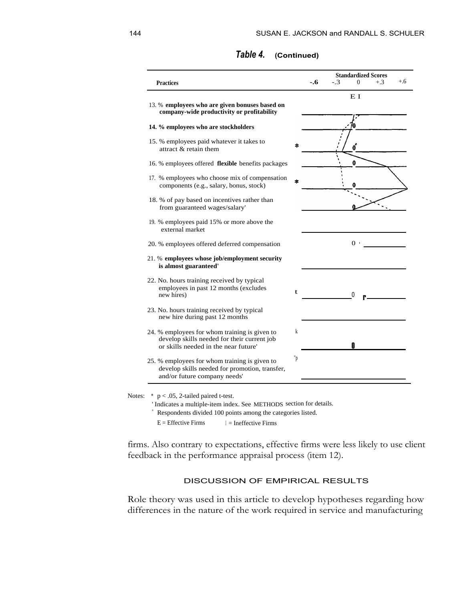| <b>Practices</b>                                                                                                                     |    | -.6 | $-.3$ | <b>Standardized Scores</b><br>$\theta$ | $+.3$ | $+.6$ |
|--------------------------------------------------------------------------------------------------------------------------------------|----|-----|-------|----------------------------------------|-------|-------|
| 13. % employees who are given bonuses based on<br>company-wide productivity or profitability                                         |    |     |       | E I                                    |       |       |
| 14. % employees who are stockholders                                                                                                 |    |     |       |                                        |       |       |
| 15. % employees paid whatever it takes to<br>attract & retain them                                                                   | ÷. |     |       |                                        |       |       |
| 16. % employees offered <b>flexible</b> benefits packages                                                                            |    |     |       | 0                                      |       |       |
| 17. % employees who choose mix of compensation<br>components (e.g., salary, bonus, stock)                                            |    |     |       |                                        |       |       |
| 18. % of pay based on incentives rather than<br>from guaranteed wages/salary'                                                        |    |     |       |                                        |       |       |
| 19. % employees paid 15% or more above the<br>external market                                                                        |    |     |       |                                        |       |       |
| 20. % employees offered deferred compensation                                                                                        |    |     |       | 0 <sup>1</sup>                         |       |       |
| 21. % employees whose job/employment security<br>is almost guaranteed'                                                               |    |     |       |                                        |       |       |
| 22. No. hours training received by typical<br>employees in past 12 months (excludes<br>new hires)                                    | t. |     |       | 0                                      |       |       |
| 23. No. hours training received by typical<br>new hire during past 12 months                                                         |    |     |       |                                        |       |       |
| 24. % employees for whom training is given to<br>develop skills needed for their current job<br>or skills needed in the near future' | k  |     |       | N                                      |       |       |
| 25. % employees for whom training is given to<br>develop skills needed for promotion, transfer,<br>and/or future company needs'      | "p |     |       |                                        |       |       |

## *Table 4.* **(Continued)**

Notes:  $*$  p < .05, 2-tailed paired t-test.

' Indicates a multiple-item index. See METHODS section for details.

" Respondents divided 100 points among the categories listed.

 $E =$  Effective Firms  $I =$  Ineffective Firms

firms. Also contrary to expectations, effective firms were less likely to use client feedback in the performance appraisal process (item 12).

## DISCUSSION OF EMPIRICAL RESULTS

Role theory was used in this article to develop hypotheses regarding how differences in the nature of the work required in service and manufacturing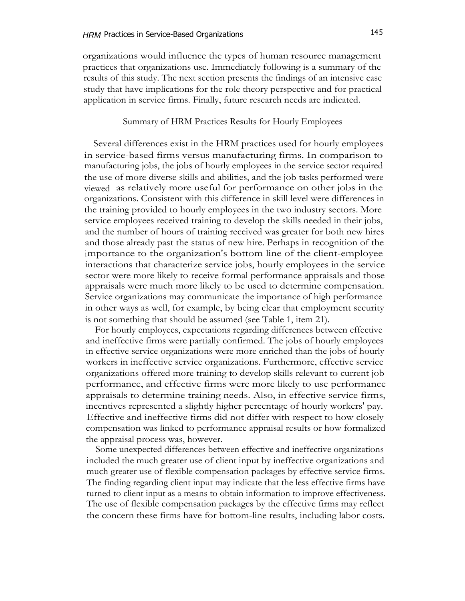organizations would influence the types of human resource management practices that organizations use. Immediately following is a summary of the results of this study. The next section presents the findings of an intensive case study that have implications for the role theory perspective and for practical application in service firms. Finally, future research needs are indicated.

## Summary of HRM Practices Results for Hourly Employees

Several differences exist in the HRM practices used for hourly employees in service-based firms versus manufacturing firms. In comparison to manufacturing jobs, the jobs of hourly employees in the service sector required the use of more diverse skills and abilities, and the job tasks performed were viewed as relatively more useful for performance on other jobs in the organizations. Consistent with this difference in skill level were differences in the training provided to hourly employees in the two industry sectors. More service employees received training to develop the skills needed in their jobs, and the number of hours of training received was greater for both new hires and those already past the status of new hire. Perhaps in recognition of the importance to the organization's bottom line of the client-employee interactions that characterize service jobs, hourly employees in the service sector were more likely to receive formal performance appraisals and those appraisals were much more likely to be used to determine compensation. Service organizations may communicate the importance of high performance in other ways as well, for example, by being clear that employment security is not something that should be assumed (see Table 1, item 21).

For hourly employees, expectations regarding differences between effective and ineffective firms were partially confirmed. The jobs of hourly employees in effective service organizations were more enriched than the jobs of hourly workers in ineffective service organizations. Furthermore, effective service organizations offered more training to develop skills relevant to current job performance, and effective firms were more likely to use performance appraisals to determine training needs. Also, in effective service firms, incentives represented a slightly higher percentage of hourly workers' pay. Effective and ineffective firms did not differ with respect to how closely compensation was linked to performance appraisal results or how formalized the appraisal process was, however.

Some unexpected differences between effective and ineffective organizations included the much greater use of client input by ineffective organizations and much greater use of flexible compensation packages by effective service firms. The finding regarding client input may indicate that the less effective firms have turned to client input as a means to obtain information to improve effectiveness. The use of flexible compensation packages by the effective firms may reflect the concern these firms have for bottom-line results, including labor costs.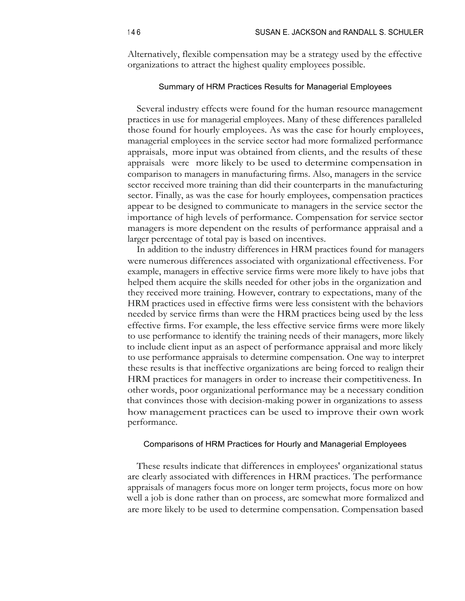Alternatively, flexible compensation may be a strategy used by the effective organizations to attract the highest quality employees possible.

## Summary of HRM Practices Results for Managerial Employees

Several industry effects were found for the human resource management practices in use for managerial employees. Many of these differences paralleled those found for hourly employees. As was the case for hourly employees, managerial employees in the service sector had more formalized performance appraisals, more input was obtained from clients, and the results of these appraisals were more likely to be used to determine compensation in comparison to managers in manufacturing firms. Also, managers in the service sector received more training than did their counterparts in the manufacturing sector. Finally, as was the case for hourly employees, compensation practices appear to be designed to communicate to managers in the service sector the importance of high levels of performance. Compensation for service sector managers is more dependent on the results of performance appraisal and a larger percentage of total pay is based on incentives.

In addition to the industry differences in HRM practices found for managers were numerous differences associated with organizational effectiveness. For example, managers in effective service firms were more likely to have jobs that helped them acquire the skills needed for other jobs in the organization and they received more training. However, contrary to expectations, many of the HRM practices used in effective firms were less consistent with the behaviors needed by service firms than were the HRM practices being used by the less effective firms. For example, the less effective service firms were more likely to use performance to identify the training needs of their managers, more likely to include client input as an aspect of performance appraisal and more likely to use performance appraisals to determine compensation. One way to interpret these results is that ineffective organizations are being forced to realign their HRM practices for managers in order to increase their competitiveness. In other words, poor organizational performance may be a necessary condition that convinces those with decision-making power in organizations to assess how management practices can be used to improve their own work performance.

### Comparisons of HRM Practices for Hourly and Managerial Employees

These results indicate that differences in employees' organizational status are clearly associated with differences in HRM practices. The performance appraisals of managers focus more on longer term projects, focus more on how well a job is done rather than on process, are somewhat more formalized and are more likely to be used to determine compensation. Compensation based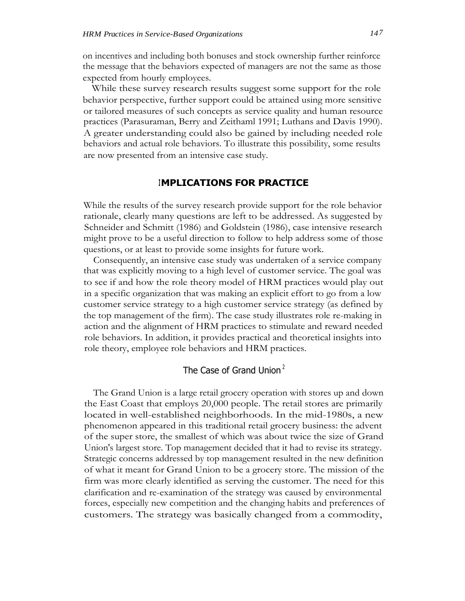on incentives and including both bonuses and stock ownership further reinforce the message that the behaviors expected of managers are not the same as those expected from hourly employees.

While these survey research results suggest some support for the role behavior perspective, further support could be attained using more sensitive or tailored measures of such concepts as service quality and human resource practices (Parasuraman, Berry and Zeithaml 1991; Luthans and Davis 1990). A greater understanding could also be gained by including needed role behaviors and actual role behaviors. To illustrate this possibility, some results are now presented from an intensive case study.

## **IMPLICATIONS FOR PRACTICE**

While the results of the survey research provide support for the role behavior rationale, clearly many questions are left to be addressed. As suggested by Schneider and Schmitt (1986) and Goldstein (1986), case intensive research might prove to be a useful direction to follow to help address some of those questions, or at least to provide some insights for future work.

Consequently, an intensive case study was undertaken of a service company that was explicitly moving to a high level of customer service. The goal was to see if and how the role theory model of HRM practices would play out in a specific organization that was making an explicit effort to go from a low customer service strategy to a high customer service strategy (as defined by the top management of the firm). The case study illustrates role re-making in action and the alignment of HRM practices to stimulate and reward needed role behaviors. In addition, it provides practical and theoretical insights into role theory, employee role behaviors and HRM practices.

# The Case of Grand Union<sup>2</sup>

The Grand Union is a large retail grocery operation with stores up and down the East Coast that employs 20,000 people. The retail stores are primarily located in well-established neighborhoods. In the mid-1980s, a new phenomenon appeared in this traditional retail grocery business: the advent of the super store, the smallest of which was about twice the size of Grand Union's largest store. Top management decided that it had to revise its strategy. Strategic concerns addressed by top management resulted in the new definition of what it meant for Grand Union to be a grocery store. The mission of the firm was more clearly identified as serving the customer. The need for this clarification and re-examination of the strategy was caused by environmental forces, especially new competition and the changing habits and preferences of customers. The strategy was basically changed from a commodity,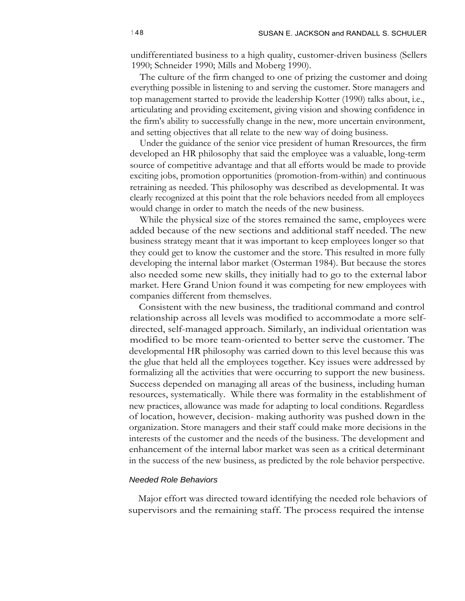undifferentiated business to a high quality, customer-driven business (Sellers 1990; Schneider 1990; Mills and Moberg 1990).

The culture of the firm changed to one of prizing the customer and doing everything possible in listening to and serving the customer. Store managers and top management started to provide the leadership Kotter (1990) talks about, i.e., articulating and providing excitement, giving vision and showing confidence in the firm's ability to successfully change in the new, more uncertain environment, and setting objectives that all relate to the new way of doing business.

Under the guidance of the senior vice president of human Rresources, the firm developed an HR philosophy that said the employee was a valuable, long-term source of competitive advantage and that all efforts would be made to provide exciting jobs, promotion opportunities (promotion-from-within) and continuous retraining as needed. This philosophy was described as developmental. It was clearly recognized at this point that the role behaviors needed from all employees would change in order to match the needs of the new business.

While the physical size of the stores remained the same, employees were added because of the new sections and additional staff needed. The new business strategy meant that it was important to keep employees longer so that they could get to know the customer and the store. This resulted in more fully developing the internal labor market (Osterman 1984). But because the stores also needed some new skills, they initially had to go to the external labor market. Here Grand Union found it was competing for new employees with companies different from themselves.

Consistent with the new business, the traditional command and control relationship across all levels was modified to accommodate a more selfdirected, self-managed approach. Similarly, an individual orientation was modified to be more team-oriented to better serve the customer. The developmental HR philosophy was carried down to this level because this was the glue that held all the employees together. Key issues were addressed by formalizing all the activities that were occurring to support the new business. Success depended on managing all areas of the business, including human resources, systematically. While there was formality in the establishment of new practices, allowance was made for adapting to local conditions. Regardless of location, however, decision- making authority was pushed down in the organization. Store managers and their staff could make more decisions in the interests of the customer and the needs of the business. The development and enhancement of the internal labor market was seen as a critical determinant in the success of the new business, as predicted by the role behavior perspective.

## Needed Role Behaviors

Major effort was directed toward identifying the needed role behaviors of supervisors and the remaining staff. The process required the intense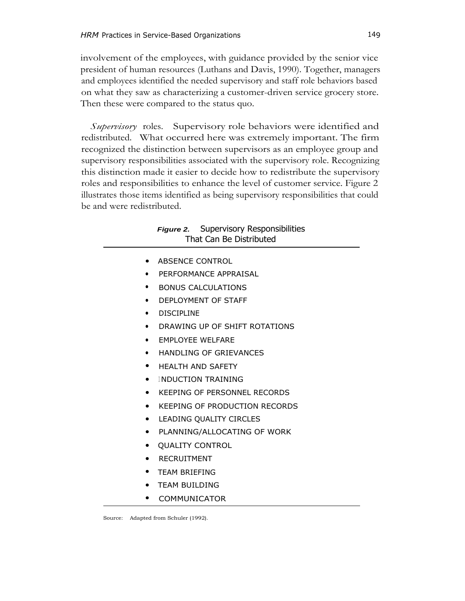involvement of the employees, with guidance provided by the senior vice president of human resources (Luthans and Davis, 1990). Together, managers and employees identified the needed supervisory and staff role behaviors based on what they saw as characterizing a customer-driven service grocery store. Then these were compared to the status quo.

*Supervisory* roles. Supervisory role behaviors were identified and redistributed. What occurred here was extremely important. The firm recognized the distinction between supervisors as an employee group and supervisory responsibilities associated with the supervisory role. Recognizing this distinction made it easier to decide how to redistribute the supervisory roles and responsibilities to enhance the level of customer service. Figure 2 illustrates those items identified as being supervisory responsibilities that could be and were redistributed.

## **Figure 2.** Supervisory Responsibilities That Can Be Distributed

- ABSENCE CONTROL
- PERFORMANCE APPRAISAL
- BONUS CALCULATIONS
- DEPLOYMENT OF STAFF
- DISCIPLINE
- DRAWING UP OF SHIFT ROTATIONS
- EMPLOYEE WELFARE
- HANDLING OF GRIEVANCES
- HEALTH AND SAFETY
- INDUCTION TRAINING
- KEEPING OF PERSONNEL RECORDS
- KEEPING OF PRODUCTION RECORDS
- LEADING QUALITY CIRCLES
- PLANNING/ALLOCATING OF WORK
- QUALITY CONTROL
- **RECRUITMENT**
- TEAM BRIEFING
- TEAM BUILDING
- COMMUNICATOR

Source: Adapted from Schuler (1992).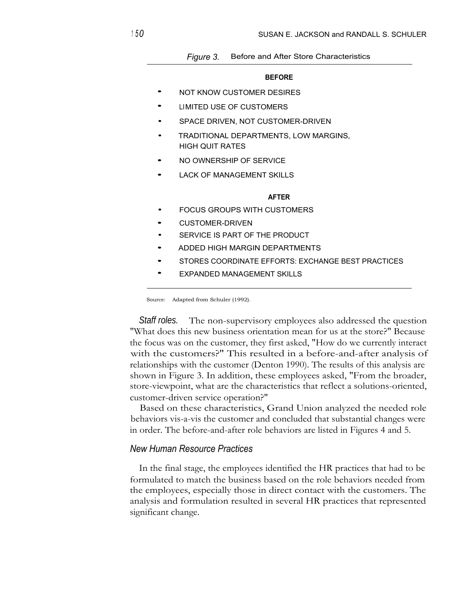### *Figure 3.* Before and After Store Characteristics

#### **BEFORE**

- NOT KNOW CUSTOMER DESIRES
- LIMITED USE OF CUSTOMERS
- SPACE DRIVEN, NOT CUSTOMER-DRIVEN
- TRADITIONAL DEPARTMENTS, LOW MARGINS, HIGH QUIT RATES
- NO OWNERSHIP OF SERVICE
- LACK OF MANAGEMENT SKILLS

#### **AFTER**

- **FOCUS GROUPS WITH CUSTOMERS**
- CUSTOMER-DRIVEN
- SERVICE IS PART OF THE PRODUCT
- ADDED HIGH MARGIN DEPARTMENTS
- STORES COORDINATE EFFORTS: EXCHANGE BEST PRACTICES
- **EXPANDED MANAGEMENT SKILLS**

Source: Adapted from Schuler (1992).

**Staff roles.** The non-supervisory employees also addressed the question "What does this new business orientation mean for us at the store?" Because the focus was on the customer, they first asked, "How do we currently interact with the customers?" This resulted in a before-and-after analysis of relationships with the customer (Denton 1990). The results of this analysis are shown in Figure 3. In addition, these employees asked, "From the broader, store-viewpoint, what are the characteristics that reflect a solutions-oriented, customer-driven service operation?"

Based on these characteristics, Grand Union analyzed the needed role behaviors vis-a-vis the customer and concluded that substantial changes were in order. The before-and-after role behaviors are listed in Figures 4 and 5.

## *New Human Resource Practices*

In the final stage, the employees identified the HR practices that had to be formulated to match the business based on the role behaviors needed from the employees, especially those in direct contact with the customers. The analysis and formulation resulted in several HR practices that represented significant change.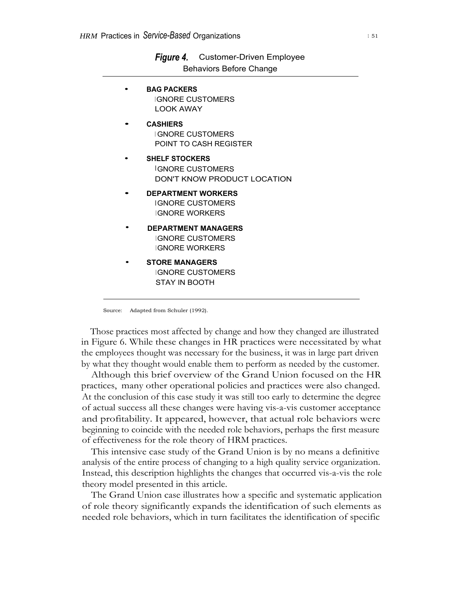| <b>Behaviors Before Change</b>                                                  |
|---------------------------------------------------------------------------------|
| <b>BAG PACKERS</b><br><b>IGNORE CUSTOMERS</b><br><b>LOOK AWAY</b>               |
| <b>CASHIERS</b><br><b>GNORE CUSTOMERS</b><br>POINT TO CASH REGISTER             |
| <b>SHELF STOCKERS</b><br><b>IGNORF CUSTOMERS</b><br>DON'T KNOW PRODUCT LOCATION |
| <b>DEPARTMENT WORKERS</b><br><b>IGNORE CUSTOMERS</b><br><b>GNORF WORKERS</b>    |
| <b>DEPARTMENT MANAGERS</b><br><b>IGNORE CUSTOMERS</b><br><b>IGNORE WORKERS</b>  |
| <b>STORE MANAGERS</b><br><b>IGNORE CUSTOMERS</b><br>STAY IN BOOTH               |

*Figure 4.* Customer-Driven Employee

Source: Adapted from Schuler (1992).

Those practices most affected by change and how they changed are illustrated in Figure 6. While these changes in HR practices were necessitated by what the employees thought was necessary for the business, it was in large part driven by what they thought would enable them to perform as needed by the customer.

Although this brief overview of the Grand Union focused on the HR practices, many other operational policies and practices were also changed. At the conclusion of this case study it was still too early to determine the degree of actual success all these changes were having vis-a-vis customer acceptance and profitability. It appeared, however, that actual role behaviors were beginning to coincide with the needed role behaviors, perhaps the first measure of effectiveness for the role theory of HRM practices.

This intensive case study of the Grand Union is by no means a definitive analysis of the entire process of changing to a high quality service organization. Instead, this description highlights the changes that occurred vis-a-vis the role theory model presented in this article.

The Grand Union case illustrates how a specific and systematic application of role theory significantly expands the identification of such elements as needed role behaviors, which in turn facilitates the identification of specific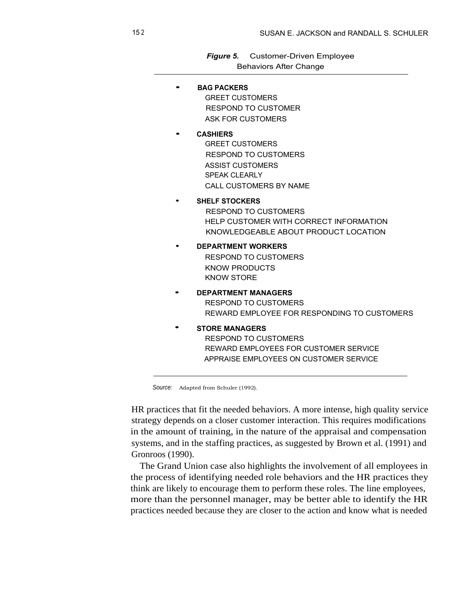*Figure 5.* Customer-Driven Employee Behaviors After Change

• **BAG PACKERS** GREET CUSTOMERS RESPOND TO CUSTOMER ASK FOR CUSTOMERS • **CASHIERS** GREET CUSTOMERS RESPOND TO CUSTOMERS ASSIST CUSTOMERS SPEAK CLEARLY CALL CUSTOMERS BY NAME • **SHELF STOCKERS** RESPOND TO CUSTOMERS HELP CUSTOMER WITH CORRECT INFORMATION KNOWLEDGEABLE ABOUT PRODUCT LOCATION • **DEPARTMENT WORKERS** RESPOND TO CUSTOMERS KNOW PRODUCTS KNOW STORE • **DEPARTMENT MANAGERS** RESPOND TO CUSTOMERS REWARD EMPLOYEE FOR RESPONDING TO CUSTOMERS • **STORE MANAGERS** RESPOND TO CUSTOMERS REWARD EMPLOYEES FOR CUSTOMER SERVICE APPRAISE EMPLOYEES ON CUSTOMER SERVICE

Source: Adapted from Schuler (1992).

HR practices that fit the needed behaviors. A more intense, high quality service strategy depends on a closer customer interaction. This requires modifications in the amount of training, in the nature of the appraisal and compensation systems, and in the staffing practices, as suggested by Brown et al. (1991) and Gronroos (1990).

The Grand Union case also highlights the involvement of all employees in the process of identifying needed role behaviors and the HR practices they think are likely to encourage them to perform these roles. The line employees, more than the personnel manager, may be better able to identify the HR practices needed because they are closer to the action and know what is needed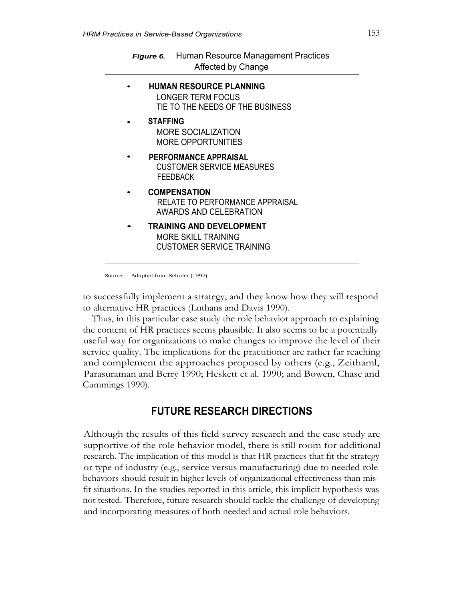| <b>Figure 6.</b> Human Resource Management Practices |
|------------------------------------------------------|
| Affected by Change                                   |

• **HUMAN RESOURCE PLANNING** LONGER TERM FOCUS TIE TO THE NEEDS OF THE BUSINESS • **STAFFING** MORE SOCIALIZATION MORE OPPORTUNITIES • **PERFORMANCE APPRAISAL** CUSTOMER SERVICE MEASURES FEEDBACK • **COMPENSATION** RELATE TO PERFORMANCE APPRAISAL AWARDS AND CELEBRATION • **TRAINING AND DEVELOPMENT** MORE SKILL TRAINING CUSTOMER SERVICE TRAINING

Source: Adapted from Schuler (1992).

to successfully implement a strategy, and they know how they will respond to alternative HR practices (Luthans and Davis 1990).

Thus, in this particular case study the role behavior approach to explaining the content of HR practices seems plausible. It also seems to be a potentially useful way for organizations to make changes to improve the level of their service quality. The implications for the practitioner are rather far reaching and complement the approaches proposed by others (e.g., Zeithaml, Parasuraman and Berry 1990; Heskett et al. 1990; and Bowen, Chase and Cummings 1990).

# **FUTURE RESEARCH DIRECTIONS**

Although the results of this field survey research and the case study are supportive of the role behavior model, there is still room for additional research. The implication of this model is that HR practices that fit the strategy or type of industry (e.g., service versus manufacturing) due to needed role behaviors should result in higher levels of organizational effectiveness than misfit situations. In the studies reported in this article, this implicit hypothesis was not tested. Therefore, future research should tackle the challenge of developing and incorporating measures of both needed and actual role behaviors.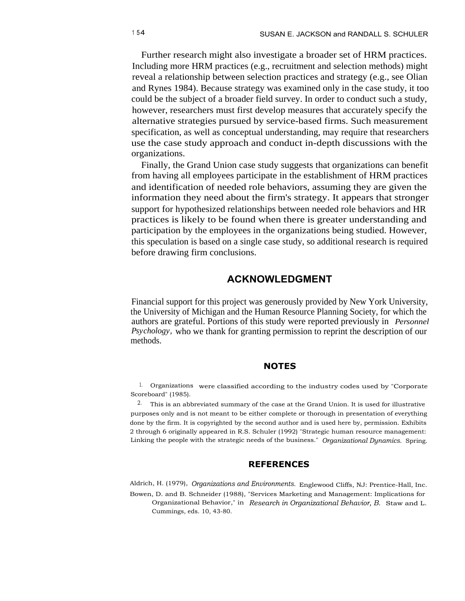Further research might also investigate a broader set of HRM practices. Including more HRM practices (e.g., recruitment and selection methods) might reveal a relationship between selection practices and strategy (e.g., see Olian and Rynes 1984). Because strategy was examined only in the case study, it too could be the subject of a broader field survey. In order to conduct such a study, however, researchers must first develop measures that accurately specify the alternative strategies pursued by service-based firms. Such measurement specification, as well as conceptual understanding, may require that researchers use the case study approach and conduct in-depth discussions with the organizations.

Finally, the Grand Union case study suggests that organizations can benefit from having all employees participate in the establishment of HRM practices and identification of needed role behaviors, assuming they are given the information they need about the firm's strategy. It appears that stronger support for hypothesized relationships between needed role behaviors and HR practices is likely to be found when there is greater understanding and participation by the employees in the organizations being studied. However, this speculation is based on a single case study, so additional research is required before drawing firm conclusions.

## **ACKNOWLEDGMENT**

Financial support for this project was generously provided by New York University, the University of Michigan and the Human Resource Planning Society, for which the authors are grateful. Portions of this study were reported previously in *Personnel Psychology,* who we thank for granting permission to reprint the description of our methods.

### **NOTES**

1. Organizations were classified according to the industry codes used by "Corporate Scoreboard" (1985).

2. This is an abbreviated summary of the case at the Grand Union. It is used for illustrative purposes only and is not meant to be either complete or thorough in presentation of everything done by the firm. It is copyrighted by the second author and is used here by, permission. Exhibits 2 through 6 originally appeared in R.S. Schuler (1992) "Strategic human resource management: Linking the people with the strategic needs of the business." *Organizational Dynamics.* Spring.

## **REFERENCES**

Aldrich, H. (1979), *Organizations and Environments.* Englewood Cliffs, NJ: Prentice-Hall, Inc. Bowen, D. and B. Schneider (1988), "Services Marketing and Management: Implications for Organizational Behavior," in *Research in Organizational Behavior, B.* Staw and L. Cummings, eds. 10, 43-80.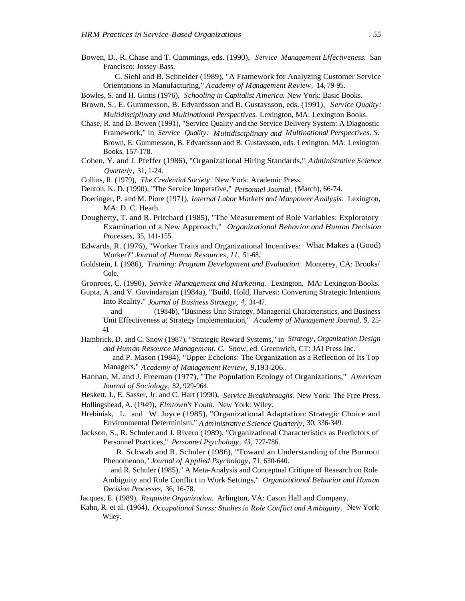Bowen, D., R. Chase and T. Cummings, eds. (1990), *Service Management Effectiveness.* San Francisco: Jossey-Bass.

C. Siehl and B. Schneider (1989), "A Framework for Analyzing Customer Service Orientations in Manufacturing," *Academy of Management Review,* 14, 79-95.

Bowles, S. and H. Gintis (1976), *Schooling in Capitalist America.* New York: Basic Books.

- Brown, S., E. Gummesson, B. Edvardsson and B. Gustavsson, eds. (1991), *Service Quality: Multidisciplinary and Multinational Perspectives.* Lexington, MA: Lexington Books.
- Chase, R. and D. Bowen (1991), "Service Quality and the Service Delivery System: A Diagnostic Framework," in *Service Quality: Multidisciplinary and Multinational Perspectives. S.* Brown, E. Gummesson, B. Edvardsson and B. Gustavsson, eds. Lexington, MA: Lexington Books, 157-178.
- Cohen, Y. and J. Pfeffer (1986), "Organizational Hiring Standards," *Administrative Science Quarterly,* 31, 1-24.
- Collins, R. (1979), *The Credential Society.* New York: Academic Press.
- Denton, K. D. (1990), "The Service Imperative," *Personnel Journal,* (March), 66-74.
- Doeringer, P. and M. Piore (1971), *Internal Labor Markets and Manpower Analysis.* Lexington, MA: D. C. Heath.
- Dougherty, T. and R. Pritchard (1985), "The Measurement of Role Variables: Exploratory Examination of a New Approach," *Organizational Behavior and Human Decision Processes,* 35, 141-155.
- Edwards, R. (1976), "Worker Traits and Organizational Incentives: What Makes a (Good) Worker?" *Journal of Human Resources, 11,* 51-68.
- Goldstein, I. (1986), *Training: Program Development and Evaluation.* Monterey, CA: Brooks/ Cole.
- Gronroos, C. (1990), *Service Management and Marketing.* Lexington, MA: Lexington Books.
- Gupta, A. and V. Govindarajan (1984a), "Build, Hold, Harvest: Converting Strategic Intentions Into Reality." *Journal of Business Strategy, 4,* 34-47.
	- and (1984b), "Business Unit Strategy, Managerial Characteristics, and Business Unit Effectiveness at Strategy Implementation," *Academy of Management Journal, 9,* 25- 41
- Hambrick, D. and C. Snow (1987), "Strategic Reward Systems," in *Strategy, Organization Design and Human Resource Management. C.* Snow, ed. Greenwich, CT: JAI Press Inc.
	- and P. Mason (1984), "Upper Echelons: The Organization as a Reflection of Its Top Managers," *Academy of Management Review,* 9,193-206..
- Hannan, M. and J. Freeman (1977), "The Population Ecology of Organizations," *American Journal of Sociology,* 82, 929-964.
- Heskett, J., E. Sasser, Jr. and C. Hart (1990), *Service Breakthroughs.* New York: The Free Press.
- Hollingshead, A. (1949), *Elmtown's Youth.* New York: Wiley.
- Hrebiniak, L. and W. Joyce (1985), "Organizational Adaptation: Strategic Choice and Environmental Determinism," *Administrative Science Quarterly,* 30, 336-349.
- Jackson, S., R. Schuler and J. Rivero (1989), "Organizational Characteristics as Predictors of Personnel Practices," *Personnel Psychology, 43,* 727-786.
	- R. Schwab and R. Schuler (1986), "Toward an Understanding of the Burnout Phenomenon," *Journal of Applied Psychology,* 71, 630-640.
	- and R. Schuler (1985)," A Meta-Analysis and Conceptual Critique of Research on Role Ambiguity and Role Conflict in Work Settings," *Organizational Behavior and Human Decision Processes,* 36, 16-78.
- Jacques, E. (1989), *Requisite Organization.* Arlington, VA: Cason Hall and Company.
- Kahn, R. et al. (1964), *Occupational Stress: Studies in Role Conflict and Ambiguity.* New York: Wiley.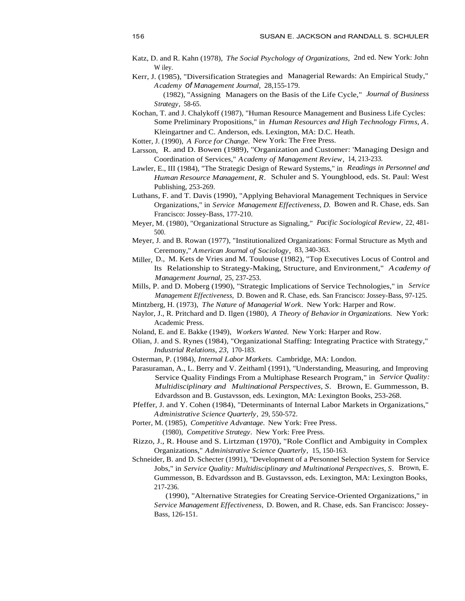- Katz, D. and R. Kahn (1978), *The Social Psychology of Organizations,* 2nd ed. New York: John W iley.
- Kerr, J. (1985), "Diversification Strategies and Managerial Rewards: An Empirical Study," *Academy* of *Management Journal,* 28,155-179.
	- (1982), "Assigning Managers on the Basis of the Life Cycle," *Journal of Business Strategy,* 58-65.
- Kochan, T. and J. Chalykoff (1987), "Human Resource Management and Business Life Cycles: Some Preliminary Propositions," in *Human Resources and High Technology Firms, A.* Kleingartner and C. Anderson, eds. Lexington, MA: D.C. Heath.
- Kotter, J. (1990), *A Force for Change.* New York: The Free Press.
- Larsson, R. and D. Bowen (1989), "Organization and Customer: 'Managing Design and Coordination of Services," *Academy of Management Review,* 14, 213-233.
- Lawler, E., III (1984), "The Strategic Design of Reward Systems," in *Readings in Personnel and Human Resource Management, R.* Schuler and S. Youngblood, eds. St. Paul: West Publishing, 253-269.
- Luthans, F. and T. Davis (1990), "Applying Behavioral Management Techniques in Service Organizations," in *Service Management Effectiveness, D.* Bowen and R. Chase, eds. San Francisco: Jossey-Bass, 177-210.
- Meyer, M. (1980), "Organizational Structure as Signaling," *Pacific Sociological Review,* 22, 481- 500.
- Meyer, J. and B. Rowan (1977), "Institutionalized Organizations: Formal Structure as Myth and Ceremony," *American Journal of Sociology,* 83, 340-363.
- Miller, D., M. Kets de Vries and M. Toulouse (1982), "Top Executives Locus of Control and Its Relationship to Strategy-Making, Structure, and Environment," *Academy of Management Journal,* 25, 237-253.
- Mills, P. and D. Moberg (1990), "Strategic Implications of Service Technologies," in *Service Management Effectiveness,* D. Bowen and R. Chase, eds. San Francisco: Jossey-Bass, 97-125.
- Mintzberg, H. (1973), *The Nature of Managerial Work.* New York: Harper and Row.
- Naylor, J., R. Pritchard and D. Ilgen (1980), *A Theory of Behavior in Organizations.* New York: Academic Press.
- Noland, E. and E. Bakke (1949), *Workers Wanted.* New York: Harper and Row.
- Olian, J. and S. Rynes (1984), "Organizational Staffing: Integrating Practice with Strategy," *Industrial Relations, 23,* 170-183.
- Osterman, P. (1984), *Internal Labor Markets.* Cambridge, MA: London.
- Parasuraman, A., L. Berry and V. Zeithaml (1991), "Understanding, Measuring, and Improving Service Quality Findings From a Multiphase Research Program," in *Service Quality: Multidisciplinary and Multinational Perspectives, S.* Brown, E. Gummesson, B. Edvardsson and B. Gustavsson, eds. Lexington, MA: Lexington Books, 253-268.
- Pfeffer, J. and Y. Cohen (1984), "Determinants of Internal Labor Markets in Organizations," *Administrative Science Quarterly,* 29, 550-572.
- Porter, M. (1985), *Competitive Advantage.* New York: Free Press.

- Rizzo, J., R. House and S. Lirtzman (1970), "Role Conflict and Ambiguity in Complex Organizations," *Administrative Science Quarterly,* 15, 150-163.
- Schneider, B. and D. Schecter (1991), "Development of a Personnel Selection System for Service Jobs," in *Service Quality: Multidisciplinary and Multinational Perspectives, S.* Brown, E. Gummesson, B. Edvardsson and B. Gustavsson, eds. Lexington, MA: Lexington Books, 217-236.
	- (1990), "Alternative Strategies for Creating Service-Oriented Organizations," in *Service Management Effectiveness,* D. Bowen, and R. Chase, eds. San Francisco: Jossey-Bass, 126-151.

<sup>(1980),</sup> *Competitive Strategy.* New York: Free Press.